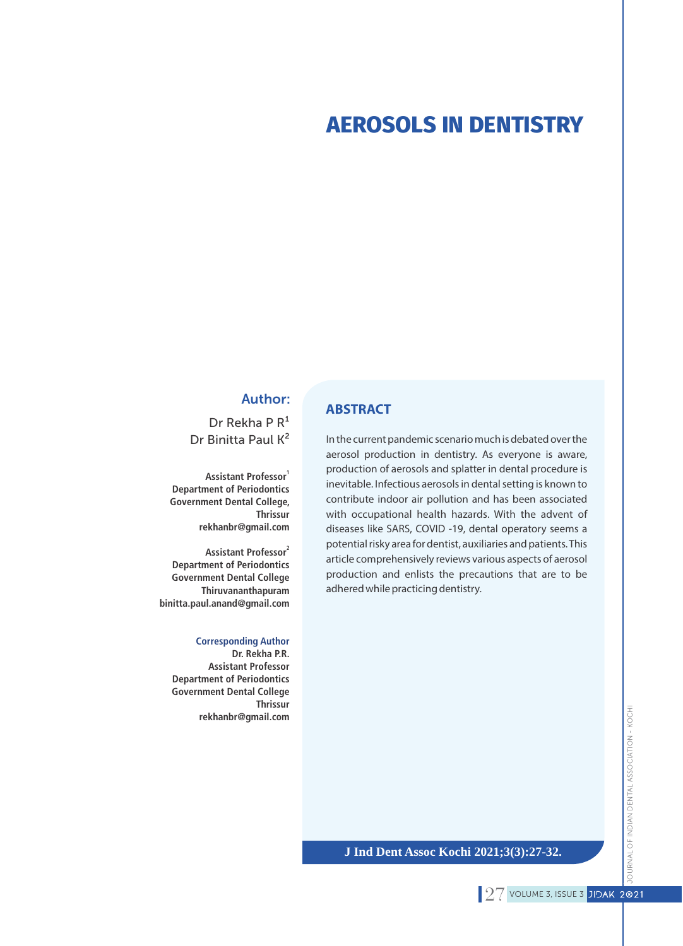# **AEROSOLS IN DENTISTRY**

### Author:

Dr Rekha P  $R<sup>1</sup>$ Dr Binitta Paul K²

**1 Assistant Professor Department of Periodontics Government Dental College, Thrissur rekhanbr@gmail.com**

**2 Assistant Professor Department of Periodontics Government Dental College Thiruvananthapuram binitta.paul.anand@gmail.com**

**Corresponding Author Dr. Rekha P.R. Assistant Professor Department of Periodontics Government Dental College Thrissur rekhanbr@gmail.com**

### **ABSTRACT**

In the current pandemic scenario much is debated over the aerosol production in dentistry. As everyone is aware, production of aerosols and splatter in dental procedure is inevitable. Infectious aerosols in dental setting is known to contribute indoor air pollution and has been associated with occupational health hazards. With the advent of diseases like SARS, COVID -19, dental operatory seems a potential risky area for dentist, auxiliaries and patients. This article comprehensively reviews various aspects of aerosol production and enlists the precautions that are to be adhered while practicing dentistry.

### **J Ind Dent Assoc Kochi 2021;3(3):27-32.**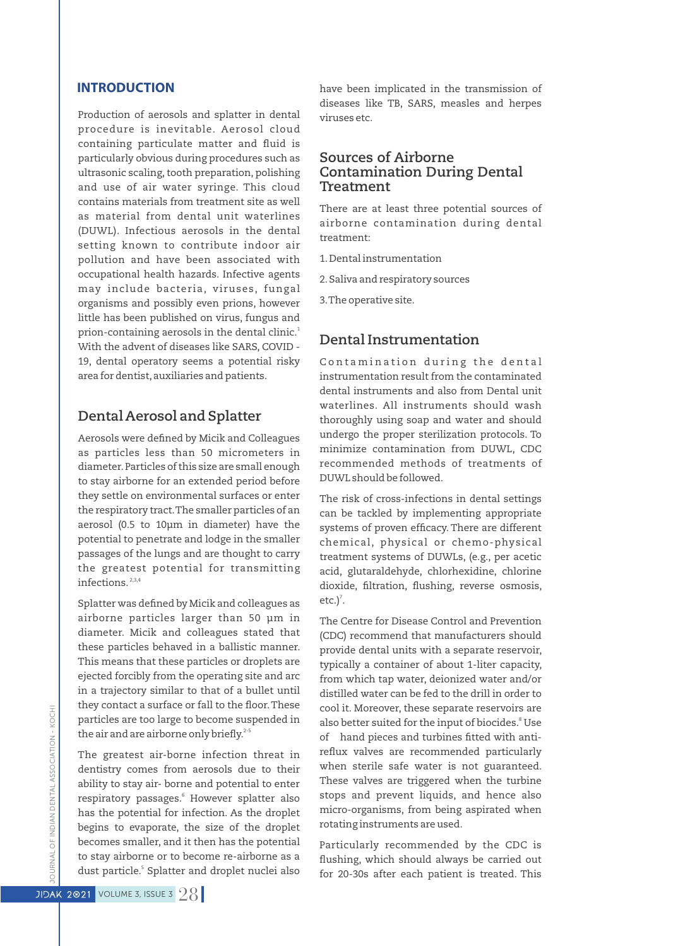### **INTRODUCTION**

Production of aerosols and splatter in dental procedure is inevitable. Aerosol cloud containing particulate matter and fluid is particularly obvious during procedures such as ultrasonic scaling, tooth preparation, polishing and use of air water syringe. This cloud contains materials from treatment site as well as material from dental unit waterlines (DUWL). Infectious aerosols in the dental setting known to contribute indoor air pollution and have been associated with occupational health hazards. Infective agents may include bacteria, viruses, fungal organisms and possibly even prions, however little has been published on virus, fungus and prion-containing aerosols in the dental clinic.<sup>1</sup> With the advent of diseases like SARS, COVID - 19, dental operatory seems a potential risky area for dentist,auxiliaries and patients.

## **Dental Aerosol and Splatter**

Aerosols were defined by Micik and Colleagues as particles less than 50 micrometers in diameter.Particles of this size are small enough to stay airborne for an extended period before they settle on environmental surfaces or enter the respiratory tract.The smaller particles of an aerosol (0.5 to 10μm in diameter) have the potential to penetrate and lodge in the smaller passages of the lungs and are thought to carry the greatest potential for transmitting infections.<sup>2,3,4</sup>

Splatter was defined by Micik and colleagues as airborne particles larger than 50 μm in diameter. Micik and colleagues stated that these particles behaved in a ballistic manner. This means that these particles or droplets are ejected forcibly from the operating site and arc in a trajectory similar to that of a bullet until they contact a surface or fall to the floor. These particles are too large to become suspended in the air and are airborne only briefly.<sup>2-5</sup>

The greatest air-borne infection threat in dentistry comes from aerosols due to their ability to stay air- borne and potential to enter respiratory passages.<sup>6</sup> However splatter also has the potential for infection. As the droplet begins to evaporate, the size of the droplet becomes smaller, and it then has the potential to stay airborne or to become re-airborne as a dust particle.<sup>5</sup> Splatter and droplet nuclei also have been implicated in the transmission of diseases like TB, SARS, measles and herpes viruses etc.

### **Sources of Airborne Contamination During Dental Treatment**

There are at least three potential sources of airborne contamination during dental treatment:

1.Dental instrumentation

2.Saliva and respiratory sources

3.The operative site.

# **Dental Instrumentation**

Contamination during the dental instrumentation result from the contaminated dental instruments and also from Dental unit waterlines. All instruments should wash thoroughly using soap and water and should undergo the proper sterilization protocols. To minimize contamination from DUWL, CDC recommended methods of treatments of DUWL should be followed.

The risk of cross-infections in dental settings can be tackled by implementing appropriate systems of proven efficacy. There are different chemical, physical or chemo-physical treatment systems of DUWLs, (e.g., per acetic acid, glutaraldehyde, chlorhexidine, chlorine dioxide, filtration, flushing, reverse osmosis, etc.) $<sup>7</sup>$ .</sup>

The Centre for Disease Control and Prevention (CDC) recommend that manufacturers should provide dental units with a separate reservoir, typically a container of about 1-liter capacity, from which tap water, deionized water and/or distilled water can be fed to the drill in order to cool it. Moreover, these separate reservoirs are also better suited for the input of biocides.<sup>8</sup> Use of hand pieces and turbines fitted with antireflux valves are recommended particularly when sterile safe water is not guaranteed. These valves are triggered when the turbine stops and prevent liquids, and hence also micro-organisms, from being aspirated when rotating instruments are used.

Particularly recommended by the CDC is flushing, which should always be carried out for 20-30s after each patient is treated. This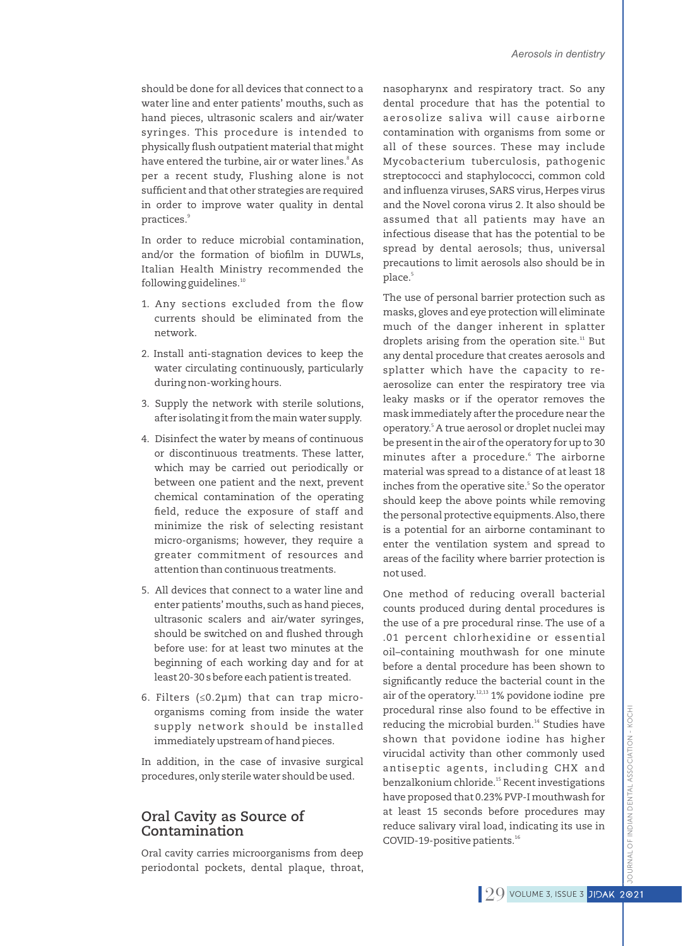should be done for all devices that connect to a water line and enter patients' mouths, such as hand pieces, ultrasonic scalers and air/water syringes. This procedure is intended to physically flush outpatient material that might have entered the turbine, air or water lines.<sup>8</sup> As per a recent study, Flushing alone is not sufficient and that other strategies are required in order to improve water quality in dental practices.<sup>9</sup>

In order to reduce microbial contamination, and/or the formation of biofilm in DUWLs, Italian Health Ministry recommended the following guidelines.<sup>10</sup>

- 1. Any sections excluded from the flow currents should be eliminated from the network.
- 2. Install anti-stagnation devices to keep the water circulating continuously, particularly during non-working hours.
- 3. Supply the network with sterile solutions, after isolating it from the main water supply.
- 4. Disinfect the water by means of continuous or discontinuous treatments. These latter, which may be carried out periodically or between one patient and the next, prevent chemical contamination of the operating field, reduce the exposure of staff and minimize the risk of selecting resistant micro-organisms; however, they require a greater commitment of resources and attention than continuous treatments.
- 5. All devices that connect to a water line and enter patients' mouths, such as hand pieces, ultrasonic scalers and air/water syringes, should be switched on and flushed through before use: for at least two minutes at the beginning of each working day and for at least 20-30 s before each patient is treated.
- 6. Filters (≤0.2µm) that can trap microorganisms coming from inside the water supply network should be installed immediately upstream of hand pieces.

In addition, in the case of invasive surgical procedures,only sterile water should be used.

### **Oral Cavity as Source of Contamination**

Oral cavity carries microorganisms from deep periodontal pockets, dental plaque, throat, nasopharynx and respiratory tract. So any dental procedure that has the potential to aerosolize saliva will cause airborne contamination with organisms from some or all of these sources. These may include Mycobacterium tuberculosis, pathogenic streptococci and staphylococci, common cold and influenza viruses, SARS virus, Herpes virus and the Novel corona virus 2. It also should be assumed that all patients may have an infectious disease that has the potential to be spread by dental aerosols; thus, universal precautions to limit aerosols also should be in 5 place.

The use of personal barrier protection such as masks, gloves and eye protection will eliminate much of the danger inherent in splatter droplets arising from the operation site.<sup>11</sup> But any dental procedure that creates aerosols and splatter which have the capacity to reaerosolize can enter the respiratory tree via leaky masks or if the operator removes the mask immediately after the procedure near the operatory.<sup>5</sup> A true aerosol or droplet nuclei may be present in the air of the operatory for up to 30 minutes after a procedure.<sup>6</sup> The airborne material was spread to a distance of at least 18 inches from the operative site.<sup>5</sup> So the operator should keep the above points while removing the personal protective equipments. Also, there is a potential for an airborne contaminant to enter the ventilation system and spread to areas of the facility where barrier protection is not used.

One method of reducing overall bacterial counts produced during dental procedures is the use of a pre procedural rinse. The use of a .01 percent chlorhexidine or essential oil–containing mouthwash for one minute before a dental procedure has been shown to significantly reduce the bacterial count in the air of the operatory.<sup>12,13</sup> 1% povidone iodine pre procedural rinse also found to be effective in reducing the microbial burden.<sup>14</sup> Studies have shown that povidone iodine has higher virucidal activity than other commonly used antiseptic agents, including CHX and benzalkonium chloride.<sup>15</sup> Recent investigations have proposed that 0.23% PVP-I mouthwash for at least 15 seconds before procedures may reduce salivary viral load, indicating its use in COVID-19-positive patients.<sup>16</sup>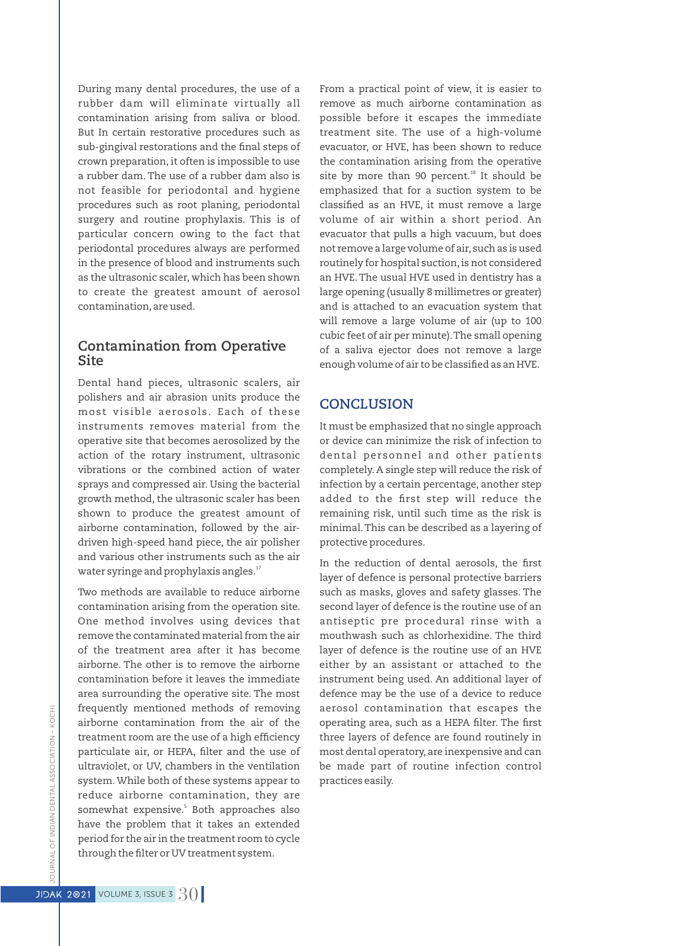During many dental procedures, the use of a rubber dam will eliminate virtually all contamination arising from saliva or blood. But In certain restorative procedures such as sub-gingival restorations and the final steps of crown preparation, it often is impossible to use a rubber dam. The use of a rubber dam also is not feasible for periodontal and hygiene procedures such as root planing, periodontal surgery and routine prophylaxis. This is of particular concern owing to the fact that periodontal procedures always are performed in the presence of blood and instruments such as the ultrasonic scaler, which has been shown to create the greatest amount of aerosol contamination,are used.

### **Contamination from Operative Site**

Dental hand pieces, ultrasonic scalers, air polishers and air abrasion units produce the most visible aerosols. Each of these instruments removes material from the operative site that becomes aerosolized by the action of the rotary instrument, ultrasonic vibrations or the combined action of water sprays and compressed air. Using the bacterial growth method, the ultrasonic scaler has been shown to produce the greatest amount of airborne contamination, followed by the airdriven high-speed hand piece, the air polisher and various other instruments such as the air water syringe and prophylaxis angles.<sup>17</sup>

Two methods are available to reduce airborne contamination arising from the operation site. One method involves using devices that remove the contaminated material from the air of the treatment area after it has become airborne. The other is to remove the airborne contamination before it leaves the immediate area surrounding the operative site. The most frequently mentioned methods of removing airborne contamination from the air of the treatment room are the use of a high efficiency particulate air, or HEPA, filter and the use of ultraviolet, or UV, chambers in the ventilation system.While both of these systems appear to reduce airborne contamination, they are somewhat expensive.<sup>5</sup> Both approaches also have the problem that it takes an extended period for the air in the treatment room to cycle through the filter or UV treatment system.

From a practical point of view, it is easier to remove as much airborne contamination as possible before it escapes the immediate treatment site. The use of a high-volume evacuator, or HVE, has been shown to reduce the contamination arising from the operative site by more than 90 percent.<sup>18</sup> It should be emphasized that for a suction system to be classified as an HVE, it must remove a large volume of air within a short period. An evacuator that pulls a high vacuum, but does not remove a large volume of air, such as is used routinely for hospital suction, is not considered an HVE.The usual HVE used in dentistry has a large opening (usually 8 millimetres or greater) and is attached to an evacuation system that will remove a large volume of air (up to 100 cubic feet of air per minute).The small opening of a saliva ejector does not remove a large enough volume of air to be classified as an HVE.

### **CONCLUSION**

It must be emphasized that no single approach or device can minimize the risk of infection to dental personnel and other patients completely. A single step will reduce the risk of infection by a certain percentage, another step added to the first step will reduce the remaining risk, until such time as the risk is minimal.This can be described as a layering of protective procedures.

In the reduction of dental aerosols, the first layer of defence is personal protective barriers such as masks, gloves and safety glasses. The second layer of defence is the routine use of an antiseptic pre procedural rinse with a mouthwash such as chlorhexidine. The third layer of defence is the routine use of an HVE either by an assistant or attached to the instrument being used. An additional layer of defence may be the use of a device to reduce aerosol contamination that escapes the operating area, such as a HEPA filter. The first three layers of defence are found routinely in most dental operatory, are inexpensive and can be made part of routine infection control practices easily.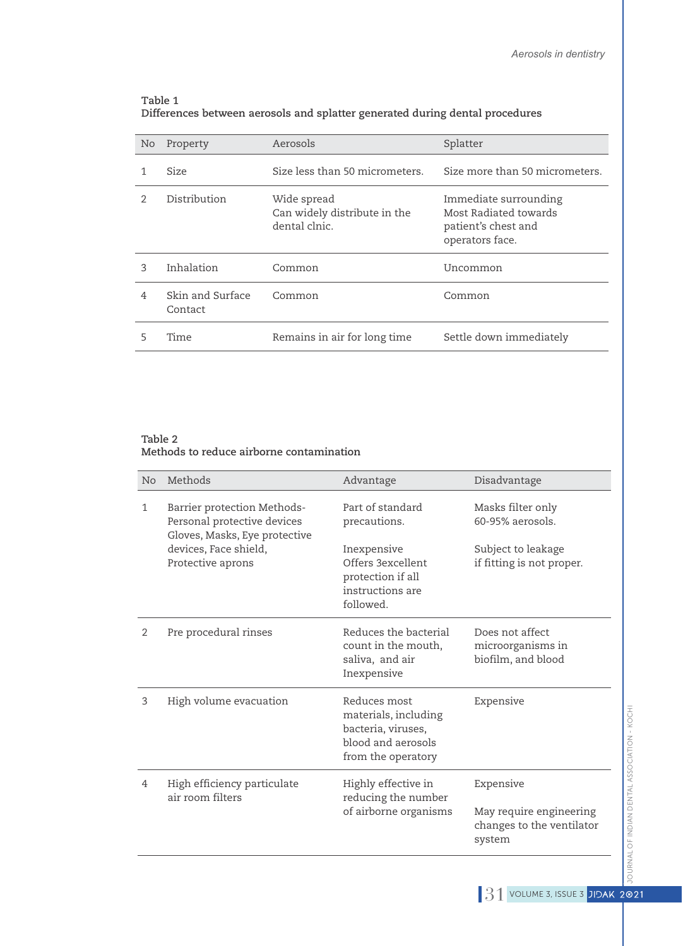#### **Table 1 Differences between aerosols and splatter generated during dental procedures**

| No            | Property                    | Aerosols                                                     | Splatter                                                                                 |
|---------------|-----------------------------|--------------------------------------------------------------|------------------------------------------------------------------------------------------|
|               | <b>Size</b>                 | Size less than 50 micrometers.                               | Size more than 50 micrometers.                                                           |
| $\mathcal{D}$ | Distribution                | Wide spread<br>Can widely distribute in the<br>dental clnic. | Immediate surrounding<br>Most Radiated towards<br>patient's chest and<br>operators face. |
| ς             | Inhalation                  | Common                                                       | Uncommon                                                                                 |
| 4             | Skin and Surface<br>Contact | Common                                                       | Common                                                                                   |
|               | Time                        | Remains in air for long time                                 | Settle down immediately                                                                  |

#### **Table 2 Methods to reduce airborne contamination**

| <b>No</b> | Methods                                                                                     | Advantage                                                                                              | Disadvantage                                                   |
|-----------|---------------------------------------------------------------------------------------------|--------------------------------------------------------------------------------------------------------|----------------------------------------------------------------|
| 1         | Barrier protection Methods-<br>Personal protective devices<br>Gloves, Masks, Eye protective | Part of standard<br>precautions.                                                                       | Masks filter only<br>$60-95%$ aerosols.                        |
|           | devices, Face shield,<br>Protective aprons                                                  | Inexpensive<br>Offers 3excellent<br>protection if all<br>instructions are<br>followed.                 | Subject to leakage<br>if fitting is not proper.                |
| 2         | Pre procedural rinses                                                                       | Reduces the bacterial<br>count in the mouth,<br>saliva, and air<br>Inexpensive                         | Does not affect<br>microorganisms in<br>biofilm, and blood     |
| 3         | High volume evacuation                                                                      | Reduces most<br>materials, including<br>bacteria, viruses,<br>blood and aerosols<br>from the operatory | Expensive                                                      |
| 4         | High efficiency particulate<br>air room filters                                             | Highly effective in<br>reducing the number<br>of airborne organisms                                    | Expensive                                                      |
|           |                                                                                             |                                                                                                        | May require engineering<br>changes to the ventilator<br>system |